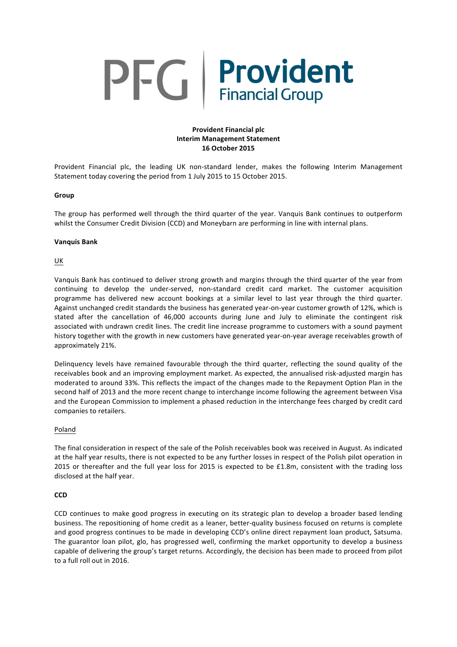# PFG Provident

# **Provident Financial plc Interim Management Statement 16 October 2015**

Provident Financial plc, the leading UK non-standard lender, makes the following Interim Management Statement today covering the period from 1 July 2015 to 15 October 2015.

## **Group**

The group has performed well through the third quarter of the year. Vanquis Bank continues to outperform whilst the Consumer Credit Division (CCD) and Moneybarn are performing in line with internal plans.

#### **Vanquis Bank**

# UK

Vanquis Bank has continued to deliver strong growth and margins through the third quarter of the year from continuing to develop the under-served, non-standard credit card market. The customer acquisition programme has delivered new account bookings at a similar level to last year through the third quarter. Against unchanged credit standards the business has generated year-on-year customer growth of 12%, which is stated after the cancellation of 46,000 accounts during June and July to eliminate the contingent risk associated with undrawn credit lines. The credit line increase programme to customers with a sound payment history together with the growth in new customers have generated year-on-year average receivables growth of approximately 21%.

Delinquency levels have remained favourable through the third quarter, reflecting the sound quality of the receivables book and an improving employment market. As expected, the annualised risk-adjusted margin has moderated to around 33%. This reflects the impact of the changes made to the Repayment Option Plan in the second half of 2013 and the more recent change to interchange income following the agreement between Visa and the European Commission to implement a phased reduction in the interchange fees charged by credit card companies to retailers.

#### Poland

The final consideration in respect of the sale of the Polish receivables book was received in August. As indicated at the half year results, there is not expected to be any further losses in respect of the Polish pilot operation in 2015 or thereafter and the full year loss for 2015 is expected to be £1.8m, consistent with the trading loss disclosed at the half year.

#### **CCD**

CCD continues to make good progress in executing on its strategic plan to develop a broader based lending business. The repositioning of home credit as a leaner, better-quality business focused on returns is complete and good progress continues to be made in developing CCD's online direct repayment loan product, Satsuma. The guarantor loan pilot, glo, has progressed well, confirming the market opportunity to develop a business capable of delivering the group's target returns. Accordingly, the decision has been made to proceed from pilot to a full roll out in 2016.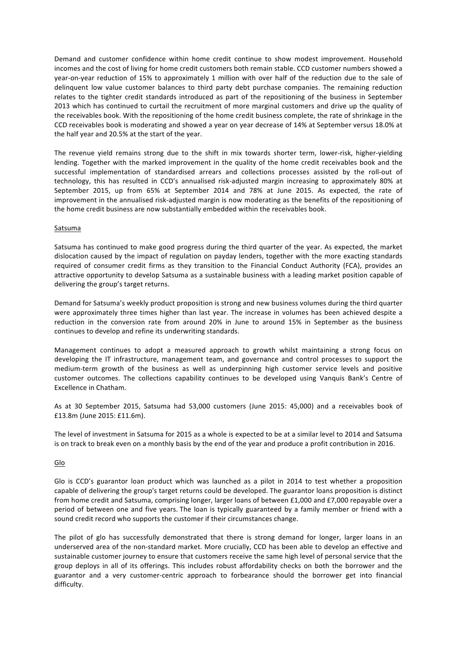Demand and customer confidence within home credit continue to show modest improvement. Household incomes and the cost of living for home credit customers both remain stable. CCD customer numbers showed a year-on-year reduction of 15% to approximately 1 million with over half of the reduction due to the sale of delinquent low value customer balances to third party debt purchase companies. The remaining reduction relates to the tighter credit standards introduced as part of the repositioning of the business in September 2013 which has continued to curtail the recruitment of more marginal customers and drive up the quality of the receivables book. With the repositioning of the home credit business complete, the rate of shrinkage in the CCD receivables book is moderating and showed a year on year decrease of 14% at September versus 18.0% at the half year and 20.5% at the start of the year.

The revenue yield remains strong due to the shift in mix towards shorter term, lower-risk, higher-yielding lending. Together with the marked improvement in the quality of the home credit receivables book and the successful implementation of standardised arrears and collections processes assisted by the roll-out of technology, this has resulted in CCD's annualised risk-adjusted margin increasing to approximately 80% at September 2015, up from 65% at September 2014 and 78% at June 2015. As expected, the rate of improvement in the annualised risk-adjusted margin is now moderating as the benefits of the repositioning of the home credit business are now substantially embedded within the receivables book.

## Satsuma

Satsuma has continued to make good progress during the third quarter of the year. As expected, the market dislocation caused by the impact of regulation on payday lenders, together with the more exacting standards required of consumer credit firms as they transition to the Financial Conduct Authority (FCA), provides an attractive opportunity to develop Satsuma as a sustainable business with a leading market position capable of delivering the group's target returns.

Demand for Satsuma's weekly product proposition is strong and new business volumes during the third quarter were approximately three times higher than last year. The increase in volumes has been achieved despite a reduction in the conversion rate from around 20% in June to around 15% in September as the business continues to develop and refine its underwriting standards.

Management continues to adopt a measured approach to growth whilst maintaining a strong focus on developing the IT infrastructure, management team, and governance and control processes to support the medium-term growth of the business as well as underpinning high customer service levels and positive customer outcomes. The collections capability continues to be developed using Vanquis Bank's Centre of Excellence in Chatham.

As at 30 September 2015, Satsuma had 53,000 customers (June 2015: 45,000) and a receivables book of £13.8m (June 2015: £11.6m).

The level of investment in Satsuma for 2015 as a whole is expected to be at a similar level to 2014 and Satsuma is on track to break even on a monthly basis by the end of the year and produce a profit contribution in 2016.

# Glo

Glo is CCD's guarantor loan product which was launched as a pilot in 2014 to test whether a proposition capable of delivering the group's target returns could be developed. The guarantor loans proposition is distinct from home credit and Satsuma, comprising longer, larger loans of between £1,000 and £7,000 repayable over a period of between one and five years. The loan is typically guaranteed by a family member or friend with a sound credit record who supports the customer if their circumstances change.

The pilot of glo has successfully demonstrated that there is strong demand for longer, larger loans in an underserved area of the non-standard market. More crucially, CCD has been able to develop an effective and sustainable customer journey to ensure that customers receive the same high level of personal service that the group deploys in all of its offerings. This includes robust affordability checks on both the borrower and the guarantor and a very customer-centric approach to forbearance should the borrower get into financial difficulty.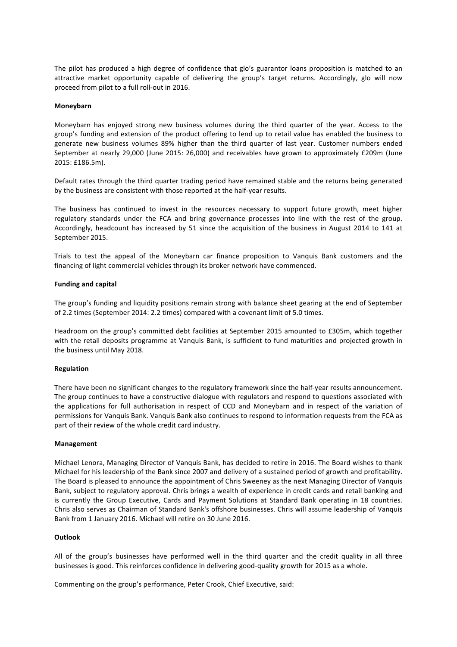The pilot has produced a high degree of confidence that glo's guarantor loans proposition is matched to an attractive market opportunity capable of delivering the group's target returns. Accordingly, glo will now proceed from pilot to a full roll-out in 2016.

#### **Moneybarn**

Moneybarn has enjoyed strong new business volumes during the third quarter of the year. Access to the group's funding and extension of the product offering to lend up to retail value has enabled the business to generate new business volumes 89% higher than the third quarter of last year. Customer numbers ended September at nearly 29,000 (June 2015: 26,000) and receivables have grown to approximately £209m (June 2015: £186.5m).

Default rates through the third quarter trading period have remained stable and the returns being generated by the business are consistent with those reported at the half-year results.

The business has continued to invest in the resources necessary to support future growth, meet higher regulatory standards under the FCA and bring governance processes into line with the rest of the group. Accordingly, headcount has increased by 51 since the acquisition of the business in August 2014 to 141 at September 2015.

Trials to test the appeal of the Moneybarn car finance proposition to Vanquis Bank customers and the financing of light commercial vehicles through its broker network have commenced.

#### **Funding and capital**

The group's funding and liquidity positions remain strong with balance sheet gearing at the end of September of 2.2 times (September 2014: 2.2 times) compared with a covenant limit of 5.0 times. 

Headroom on the group's committed debt facilities at September 2015 amounted to £305m, which together with the retail deposits programme at Vanquis Bank, is sufficient to fund maturities and projected growth in the business until May 2018.

#### **Regulation**

There have been no significant changes to the regulatory framework since the half-year results announcement. The group continues to have a constructive dialogue with regulators and respond to questions associated with the applications for full authorisation in respect of CCD and Moneybarn and in respect of the variation of permissions for Vanquis Bank. Vanquis Bank also continues to respond to information requests from the FCA as part of their review of the whole credit card industry.

#### **Management**

Michael Lenora, Managing Director of Vanquis Bank, has decided to retire in 2016. The Board wishes to thank Michael for his leadership of the Bank since 2007 and delivery of a sustained period of growth and profitability. The Board is pleased to announce the appointment of Chris Sweeney as the next Managing Director of Vanquis Bank, subject to regulatory approval. Chris brings a wealth of experience in credit cards and retail banking and is currently the Group Executive, Cards and Payment Solutions at Standard Bank operating in 18 countries. Chris also serves as Chairman of Standard Bank's offshore businesses. Chris will assume leadership of Vanquis Bank from 1 January 2016. Michael will retire on 30 June 2016.

#### **Outlook**

All of the group's businesses have performed well in the third quarter and the credit quality in all three businesses is good. This reinforces confidence in delivering good-quality growth for 2015 as a whole.

Commenting on the group's performance, Peter Crook, Chief Executive, said: